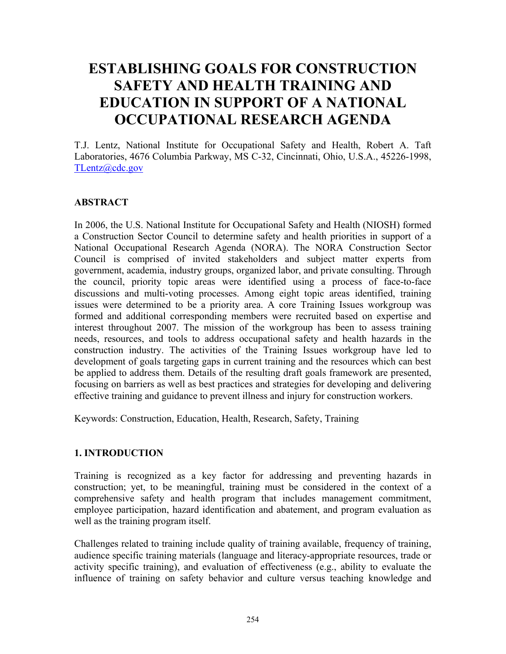# **ESTABLISHING GOALS FOR CONSTRUCTION SAFETY AND HEALTH TRAINING AND EDUCATION IN SUPPORT OF A NATIONAL OCCUPATIONAL RESEARCH AGENDA**

T.J. Lentz, National Institute for Occupational Safety and Health, Robert A. Taft Laboratories, 4676 Columbia Parkway, MS C-32, Cincinnati, Ohio, U.S.A., 45226-1998, TLentz@cdc.gov

## **ABSTRACT**

In 2006, the U.S. National Institute for Occupational Safety and Health (NIOSH) formed a Construction Sector Council to determine safety and health priorities in support of a National Occupational Research Agenda (NORA). The NORA Construction Sector Council is comprised of invited stakeholders and subject matter experts from government, academia, industry groups, organized labor, and private consulting. Through the council, priority topic areas were identified using a process of face-to-face discussions and multi-voting processes. Among eight topic areas identified, training issues were determined to be a priority area. A core Training Issues workgroup was formed and additional corresponding members were recruited based on expertise and interest throughout 2007. The mission of the workgroup has been to assess training needs, resources, and tools to address occupational safety and health hazards in the construction industry. The activities of the Training Issues workgroup have led to development of goals targeting gaps in current training and the resources which can best be applied to address them. Details of the resulting draft goals framework are presented, focusing on barriers as well as best practices and strategies for developing and delivering effective training and guidance to prevent illness and injury for construction workers.

Keywords: Construction, Education, Health, Research, Safety, Training

### **1. INTRODUCTION**

Training is recognized as a key factor for addressing and preventing hazards in construction; yet, to be meaningful, training must be considered in the context of a comprehensive safety and health program that includes management commitment, employee participation, hazard identification and abatement, and program evaluation as well as the training program itself.

Challenges related to training include quality of training available, frequency of training, audience specific training materials (language and literacy-appropriate resources, trade or activity specific training), and evaluation of effectiveness (e.g., ability to evaluate the influence of training on safety behavior and culture versus teaching knowledge and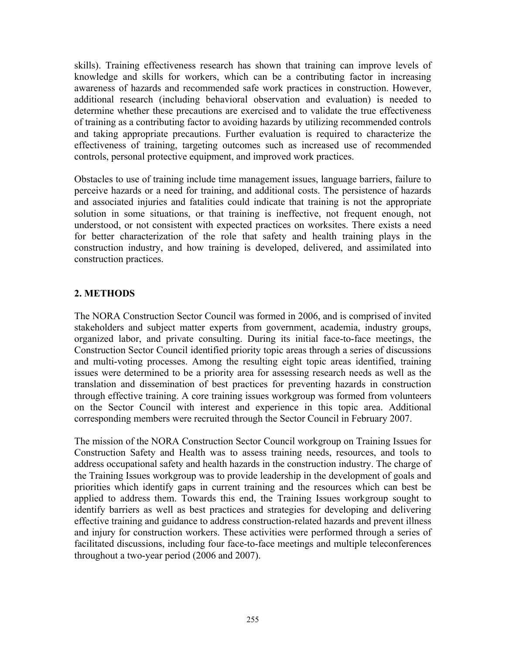skills). Training effectiveness research has shown that training can improve levels of knowledge and skills for workers, which can be a contributing factor in increasing awareness of hazards and recommended safe work practices in construction. However, additional research (including behavioral observation and evaluation) is needed to determine whether these precautions are exercised and to validate the true effectiveness of training as a contributing factor to avoiding hazards by utilizing recommended controls and taking appropriate precautions. Further evaluation is required to characterize the effectiveness of training, targeting outcomes such as increased use of recommended controls, personal protective equipment, and improved work practices.

Obstacles to use of training include time management issues, language barriers, failure to perceive hazards or a need for training, and additional costs. The persistence of hazards and associated injuries and fatalities could indicate that training is not the appropriate solution in some situations, or that training is ineffective, not frequent enough, not understood, or not consistent with expected practices on worksites. There exists a need for better characterization of the role that safety and health training plays in the construction industry, and how training is developed, delivered, and assimilated into construction practices.

# **2. METHODS**

The NORA Construction Sector Council was formed in 2006, and is comprised of invited stakeholders and subject matter experts from government, academia, industry groups, organized labor, and private consulting. During its initial face-to-face meetings, the Construction Sector Council identified priority topic areas through a series of discussions and multi-voting processes. Among the resulting eight topic areas identified, training issues were determined to be a priority area for assessing research needs as well as the translation and dissemination of best practices for preventing hazards in construction through effective training. A core training issues workgroup was formed from volunteers on the Sector Council with interest and experience in this topic area. Additional corresponding members were recruited through the Sector Council in February 2007.

The mission of the NORA Construction Sector Council workgroup on Training Issues for Construction Safety and Health was to assess training needs, resources, and tools to address occupational safety and health hazards in the construction industry. The charge of the Training Issues workgroup was to provide leadership in the development of goals and priorities which identify gaps in current training and the resources which can best be applied to address them. Towards this end, the Training Issues workgroup sought to identify barriers as well as best practices and strategies for developing and delivering effective training and guidance to address construction-related hazards and prevent illness and injury for construction workers. These activities were performed through a series of facilitated discussions, including four face-to-face meetings and multiple teleconferences throughout a two-year period (2006 and 2007).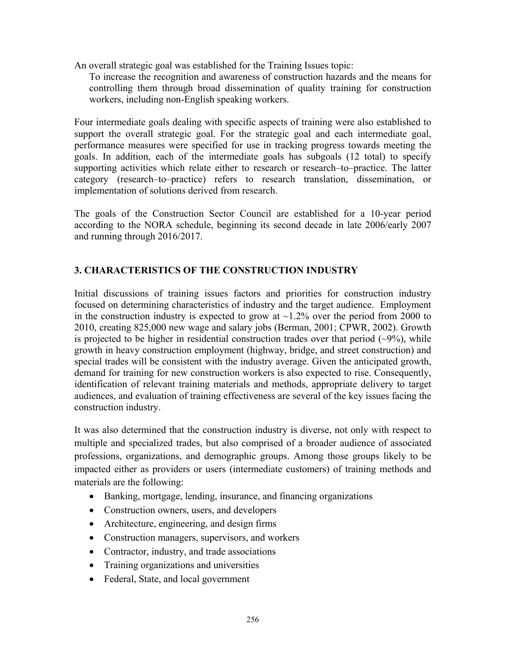An overall strategic goal was established for the Training Issues topic:

To increase the recognition and awareness of construction hazards and the means for controlling them through broad dissemination of quality training for construction workers, including non-English speaking workers.

Four intermediate goals dealing with specific aspects of training were also established to support the overall strategic goal. For the strategic goal and each intermediate goal, performance measures were specified for use in tracking progress towards meeting the goals. In addition, each of the intermediate goals has subgoals (12 total) to specify supporting activities which relate either to research or research–to–practice. The latter category (research–to–practice) refers to research translation, dissemination, or implementation of solutions derived from research.

The goals of the Construction Sector Council are established for a 10-year period according to the NORA schedule, beginning its second decade in late 2006/early 2007 and running through 2016/2017.

# **3. CHARACTERISTICS OF THE CONSTRUCTION INDUSTRY**

Initial discussions of training issues factors and priorities for construction industry focused on determining characteristics of industry and the target audience. Employment in the construction industry is expected to grow at  $\sim$ 1.2% over the period from 2000 to 2010, creating 825,000 new wage and salary jobs (Berman, 2001; CPWR, 2002). Growth is projected to be higher in residential construction trades over that period  $(-9\%)$ , while growth in heavy construction employment (highway, bridge, and street construction) and special trades will be consistent with the industry average. Given the anticipated growth, demand for training for new construction workers is also expected to rise. Consequently, identification of relevant training materials and methods, appropriate delivery to target audiences, and evaluation of training effectiveness are several of the key issues facing the construction industry.

It was also determined that the construction industry is diverse, not only with respect to multiple and specialized trades, but also comprised of a broader audience of associated professions, organizations, and demographic groups. Among those groups likely to be impacted either as providers or users (intermediate customers) of training methods and materials are the following:

- Banking, mortgage, lending, insurance, and financing organizations
- Construction owners, users, and developers
- Architecture, engineering, and design firms
- Construction managers, supervisors, and workers
- Contractor, industry, and trade associations
- Training organizations and universities
- Federal, State, and local government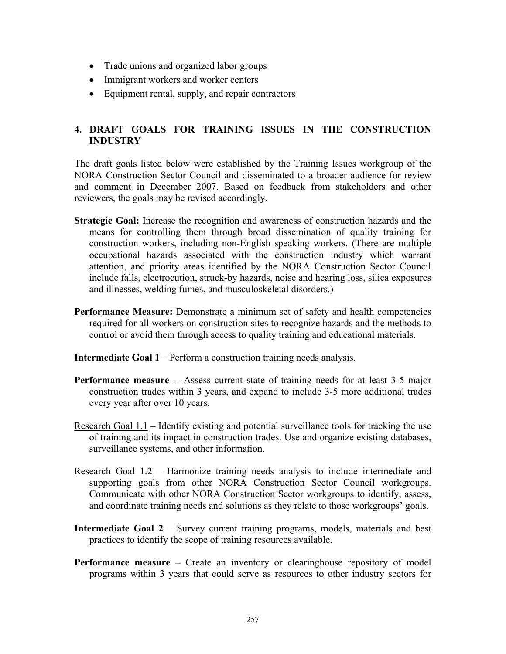- Trade unions and organized labor groups
- Immigrant workers and worker centers
- Equipment rental, supply, and repair contractors

## **4. DRAFT GOALS FOR TRAINING ISSUES IN THE CONSTRUCTION INDUSTRY**

The draft goals listed below were established by the Training Issues workgroup of the NORA Construction Sector Council and disseminated to a broader audience for review and comment in December 2007. Based on feedback from stakeholders and other reviewers, the goals may be revised accordingly.

- **Strategic Goal:** Increase the recognition and awareness of construction hazards and the means for controlling them through broad dissemination of quality training for construction workers, including non-English speaking workers. (There are multiple occupational hazards associated with the construction industry which warrant attention, and priority areas identified by the NORA Construction Sector Council include falls, electrocution, struck-by hazards, noise and hearing loss, silica exposures and illnesses, welding fumes, and musculoskeletal disorders.)
- **Performance Measure:** Demonstrate a minimum set of safety and health competencies required for all workers on construction sites to recognize hazards and the methods to control or avoid them through access to quality training and educational materials.
- **Intermediate Goal 1 Perform a construction training needs analysis.**
- **Performance measure --** Assess current state of training needs for at least 3-5 major construction trades within 3 years, and expand to include 3-5 more additional trades every year after over 10 years.
- Research Goal 1.1 Identify existing and potential surveillance tools for tracking the use of training and its impact in construction trades. Use and organize existing databases, surveillance systems, and other information.
- Research Goal 1.2 Harmonize training needs analysis to include intermediate and supporting goals from other NORA Construction Sector Council workgroups. Communicate with other NORA Construction Sector workgroups to identify, assess, and coordinate training needs and solutions as they relate to those workgroups' goals.
- **Intermediate Goal 2** Survey current training programs, models, materials and best practices to identify the scope of training resources available.
- **Performance measure** Create an inventory or clearinghouse repository of model programs within 3 years that could serve as resources to other industry sectors for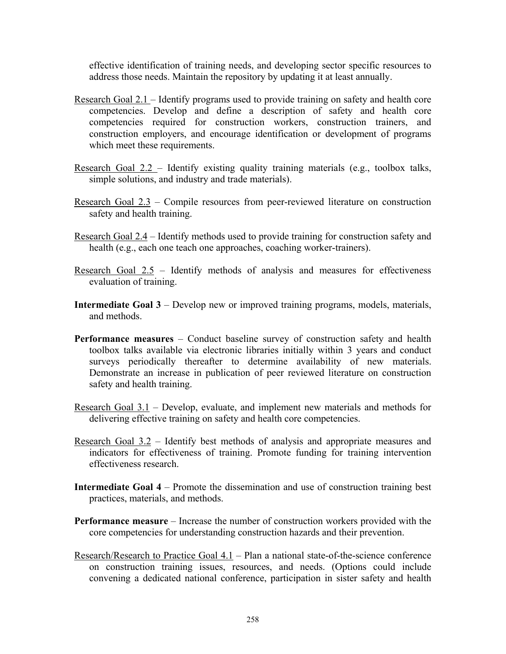effective identification of training needs, and developing sector specific resources to address those needs. Maintain the repository by updating it at least annually.

- Research Goal 2.1 Identify programs used to provide training on safety and health core competencies. Develop and define a description of safety and health core competencies required for construction workers, construction trainers, and construction employers, and encourage identification or development of programs which meet these requirements.
- Research Goal 2.2 Identify existing quality training materials (e.g., toolbox talks, simple solutions, and industry and trade materials).
- Research Goal 2.3 Compile resources from peer-reviewed literature on construction safety and health training.
- Research Goal 2.4 Identify methods used to provide training for construction safety and health (e.g., each one teach one approaches, coaching worker-trainers).
- Research Goal  $2.5$  Identify methods of analysis and measures for effectiveness evaluation of training.
- **Intermediate Goal 3**  Develop new or improved training programs, models, materials, and methods.
- **Performance measures** Conduct baseline survey of construction safety and health toolbox talks available via electronic libraries initially within 3 years and conduct surveys periodically thereafter to determine availability of new materials. Demonstrate an increase in publication of peer reviewed literature on construction safety and health training.
- Research Goal 3.1 Develop, evaluate, and implement new materials and methods for delivering effective training on safety and health core competencies.
- Research Goal 3.2 Identify best methods of analysis and appropriate measures and indicators for effectiveness of training. Promote funding for training intervention effectiveness research.
- **Intermediate Goal 4** Promote the dissemination and use of construction training best practices, materials, and methods.
- **Performance measure** Increase the number of construction workers provided with the core competencies for understanding construction hazards and their prevention.
- Research/Research to Practice Goal 4.1 Plan a national state-of-the-science conference on construction training issues, resources, and needs. (Options could include convening a dedicated national conference, participation in sister safety and health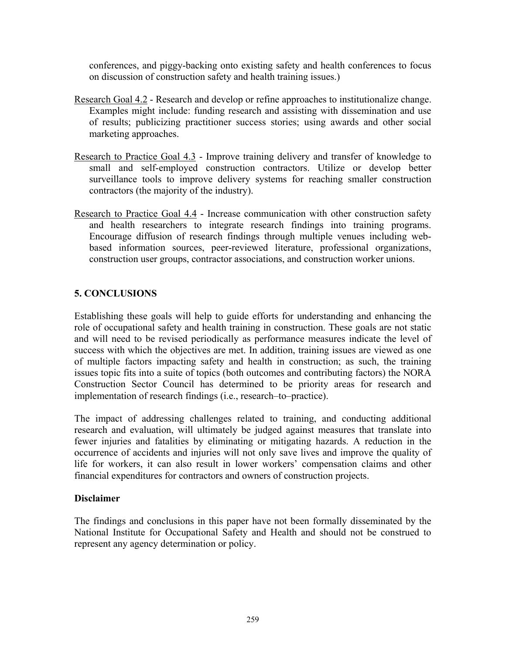conferences, and piggy-backing onto existing safety and health conferences to focus on discussion of construction safety and health training issues.)

- Research Goal 4.2 Research and develop or refine approaches to institutionalize change. Examples might include: funding research and assisting with dissemination and use of results; publicizing practitioner success stories; using awards and other social marketing approaches.
- Research to Practice Goal 4.3 Improve training delivery and transfer of knowledge to small and self-employed construction contractors. Utilize or develop better surveillance tools to improve delivery systems for reaching smaller construction contractors (the majority of the industry).
- Research to Practice Goal 4.4 Increase communication with other construction safety and health researchers to integrate research findings into training programs. Encourage diffusion of research findings through multiple venues including webbased information sources, peer-reviewed literature, professional organizations, construction user groups, contractor associations, and construction worker unions.

# **5. CONCLUSIONS**

Establishing these goals will help to guide efforts for understanding and enhancing the role of occupational safety and health training in construction. These goals are not static and will need to be revised periodically as performance measures indicate the level of success with which the objectives are met. In addition, training issues are viewed as one of multiple factors impacting safety and health in construction; as such, the training issues topic fits into a suite of topics (both outcomes and contributing factors) the NORA Construction Sector Council has determined to be priority areas for research and implementation of research findings (i.e., research–to–practice).

The impact of addressing challenges related to training, and conducting additional research and evaluation, will ultimately be judged against measures that translate into fewer injuries and fatalities by eliminating or mitigating hazards. A reduction in the occurrence of accidents and injuries will not only save lives and improve the quality of life for workers, it can also result in lower workers' compensation claims and other financial expenditures for contractors and owners of construction projects.

#### **Disclaimer**

The findings and conclusions in this paper have not been formally disseminated by the National Institute for Occupational Safety and Health and should not be construed to represent any agency determination or policy.